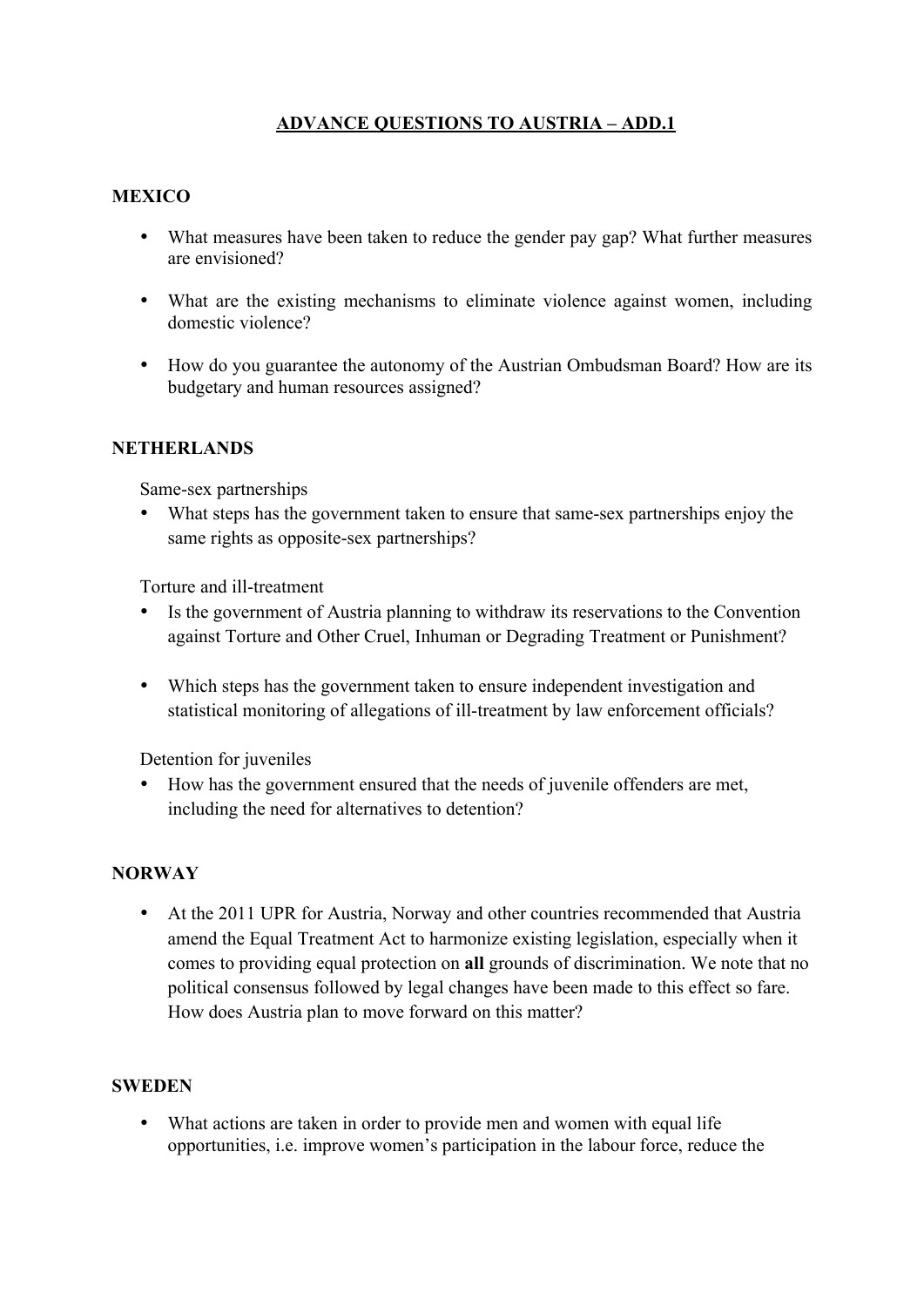# **ADVANCE QUESTIONS TO AUSTRIA – ADD.1**

### **MEXICO**

- What measures have been taken to reduce the gender pay gap? What further measures are envisioned?
- What are the existing mechanisms to eliminate violence against women, including domestic violence?
- How do you guarantee the autonomy of the Austrian Ombudsman Board? How are its budgetary and human resources assigned?

#### **NETHERLANDS**

Same-sex partnerships

What steps has the government taken to ensure that same-sex partnerships enjoy the same rights as opposite-sex partnerships?

Torture and ill-treatment

- Is the government of Austria planning to withdraw its reservations to the Convention against Torture and Other Cruel, Inhuman or Degrading Treatment or Punishment?
- Which steps has the government taken to ensure independent investigation and statistical monitoring of allegations of ill-treatment by law enforcement officials?

Detention for juveniles

• How has the government ensured that the needs of juvenile offenders are met, including the need for alternatives to detention?

### **NORWAY**

• At the 2011 UPR for Austria, Norway and other countries recommended that Austria amend the Equal Treatment Act to harmonize existing legislation, especially when it comes to providing equal protection on **all** grounds of discrimination. We note that no political consensus followed by legal changes have been made to this effect so fare. How does Austria plan to move forward on this matter?

#### **SWEDEN**

• What actions are taken in order to provide men and women with equal life opportunities, i.e. improve women's participation in the labour force, reduce the